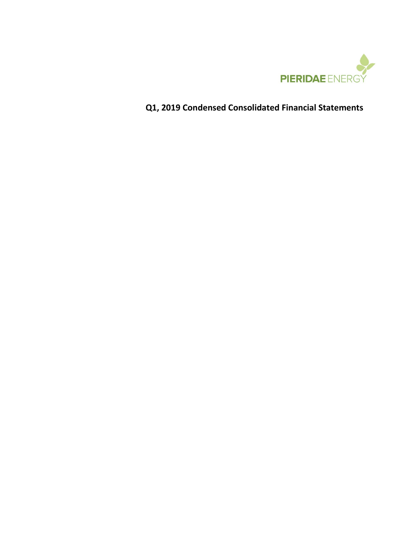

# **Q1, 2019 Condensed Consolidated Financial Statements**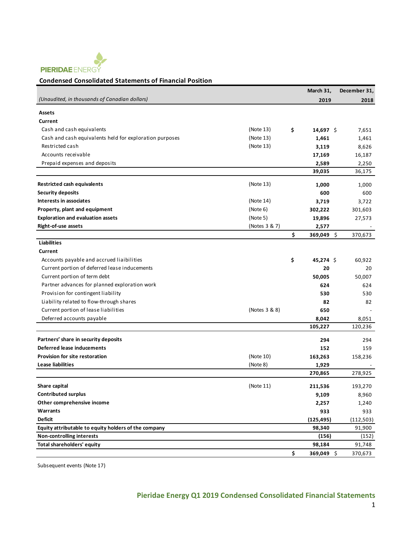

#### **Condensed Consolidated Statements of Financial Position**

|                                                         |               | March 31,          | December 31, |
|---------------------------------------------------------|---------------|--------------------|--------------|
| (Unaudited, in thousands of Canadian dollars)           |               | 2019               | 2018         |
| Assets                                                  |               |                    |              |
| Current                                                 |               |                    |              |
| Cash and cash equivalents                               | (Note 13)     | \$<br>14,697 \$    | 7,651        |
| Cash and cash equivalents held for exploration purposes | (Note 13)     | 1,461              | 1,461        |
| Restricted cash                                         | (Note 13)     | 3,119              | 8,626        |
| Accounts receivable                                     |               | 17,169             | 16,187       |
| Prepaid expenses and deposits                           |               | 2,589              | 2,250        |
|                                                         |               | 39,035             | 36,175       |
|                                                         |               |                    |              |
| Restricted cash equivalents                             | (Note 13)     | 1,000              | 1,000        |
| <b>Security deposits</b>                                |               | 600                | 600          |
| Interests in associates                                 | (Note 14)     | 3,719              | 3,722        |
| Property, plant and equipment                           | (Note 6)      | 302,222            | 301,603      |
| <b>Exploration and evaluation assets</b>                | (Note 5)      | 19,896             | 27,573       |
| Right-of-use assets                                     | (Notes 3 & 7) | 2,577              |              |
|                                                         |               | \$<br>$369,049$ \$ | 370,673      |
| <b>Liabilities</b>                                      |               |                    |              |
| Current                                                 |               |                    |              |
| Accounts payable and accrued liaibilities               |               | \$<br>$45,274$ \$  | 60,922       |
| Current portion of deferred lease inducements           |               | 20                 | 20           |
| Current portion of term debt                            |               | 50,005             | 50,007       |
| Partner advances for planned exploration work           |               | 624                | 624          |
| Provision for contingent liability                      |               | 530                | 530          |
| Liability related to flow-through shares                |               | 82                 | 82           |
| Current portion of lease liabilities                    | (Notes 3 & 8) | 650                |              |
| Deferred accounts payable                               |               | 8,042              | 8,051        |
|                                                         |               | 105,227            | 120,236      |
| Partners' share in security deposits                    |               | 294                | 294          |
| Deferred lease inducements                              |               | 152                | 159          |
| <b>Provision for site restoration</b>                   | (Note 10)     | 163,263            | 158,236      |
| Lease liabilities                                       | (Note 8)      | 1,929              |              |
|                                                         |               | 270,865            | 278,925      |
|                                                         |               |                    |              |
| Share capital                                           | (Note 11)     | 211,536            | 193,270      |
| <b>Contributed surplus</b>                              |               | 9,109              | 8,960        |
| Other comprehensive income                              |               | 2,257              | 1,240        |
| Warrants                                                |               | 933                | 933          |
| <b>Deficit</b>                                          |               | (125, 495)         | (112, 503)   |
| Equity attributable to equity holders of the company    |               | 98,340             | 91,900       |
| <b>Non-controlling interests</b>                        |               | (156)              | (152)        |
| Total shareholders' equity                              |               | 98,184             | 91,748       |
|                                                         |               | \$<br>369,049 \$   | 370,673      |

Subsequent events (Note 17)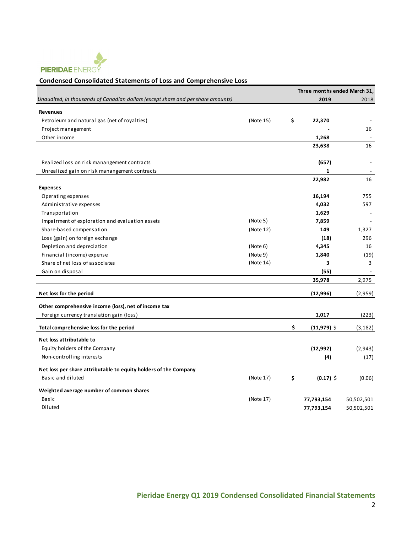

#### **Condensed Consolidated Statements of Loss and Comprehensive Loss**

|                                                                                  |           | Three months ended March 31, |            |
|----------------------------------------------------------------------------------|-----------|------------------------------|------------|
| Unaudited, in thousands of Canadian dollars (except share and per share amounts) |           | 2019                         | 2018       |
| <b>Revenues</b>                                                                  |           |                              |            |
| Petroleum and natural gas (net of royalties)                                     | (Note 15) | \$<br>22,370                 |            |
| Project management                                                               |           |                              | 16         |
| Other income                                                                     |           | 1,268                        |            |
|                                                                                  |           | 23,638                       | 16         |
| Realized loss on risk manangement contracts                                      |           | (657)                        |            |
| Unrealized gain on risk manangement contracts                                    |           | $\mathbf{1}$                 |            |
|                                                                                  |           | 22,982                       | 16         |
| <b>Expenses</b>                                                                  |           |                              |            |
| Operating expenses                                                               |           | 16,194                       | 755        |
| Administrative expenses                                                          |           | 4,032                        | 597        |
| Transportation                                                                   |           | 1,629                        |            |
| Impairment of exploration and evaluation assets                                  | (Note 5)  | 7,859                        |            |
| Share-based compensation                                                         | (Note 12) | 149                          | 1,327      |
| Loss (gain) on foreign exchange                                                  |           | (18)                         | 296        |
| Depletion and depreciation                                                       | (Note 6)  | 4,345                        | 16         |
| Financial (income) expense                                                       | (Note 9)  | 1,840                        | (19)       |
| Share of net loss of associates                                                  | (Note 14) | 3                            | 3          |
| Gain on disposal                                                                 |           | (55)                         |            |
|                                                                                  |           | 35,978                       | 2,975      |
| Net loss for the period                                                          |           | (12,996)                     | (2,959)    |
| Other comprehensive income (loss), net of income tax                             |           |                              |            |
| Foreign currency translation gain (loss)                                         |           | 1,017                        | (223)      |
| Total comprehensive loss for the period                                          |           | \$<br>$(11,979)$ \$          | (3, 182)   |
| Net loss attributable to                                                         |           |                              |            |
| Equity holders of the Company                                                    |           | (12,992)                     | (2,943)    |
| Non-controlling interests                                                        |           | (4)                          | (17)       |
|                                                                                  |           |                              |            |
| Net loss per share attributable to equity holders of the Company                 |           |                              |            |
| Basic and diluted                                                                | (Note 17) | \$<br>$(0.17)$ \$            | (0.06)     |
| Weighted average number of common shares                                         |           |                              |            |
| Basic                                                                            | (Note 17) | 77,793,154                   | 50,502,501 |
| Diluted                                                                          |           | 77,793,154                   | 50,502,501 |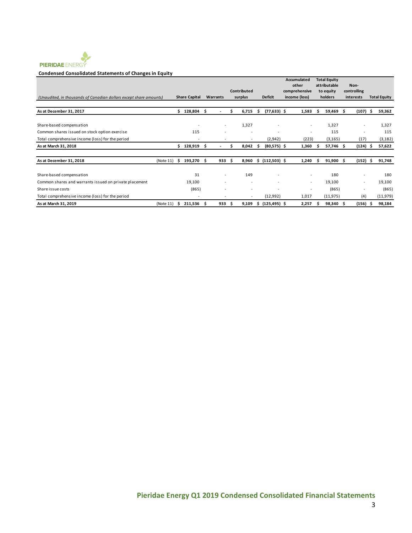

#### **Condensed Consolidated Statements of Changes in Equity**

|                                                                    |           |      |                          |      |                          |    |                          |    |                          | Accumulated              |    | <b>Total Equity</b>       |                          |    |                     |
|--------------------------------------------------------------------|-----------|------|--------------------------|------|--------------------------|----|--------------------------|----|--------------------------|--------------------------|----|---------------------------|--------------------------|----|---------------------|
|                                                                    |           |      |                          |      |                          |    | Contributed              |    |                          | other<br>comprehensive   |    | attributable<br>to equity | Non-<br>controlling      |    |                     |
| (Unaudited, in thousands of Canadian dollars except share amounts) |           |      | <b>Share Capital</b>     |      | Warrants                 |    | surplus                  |    | <b>Deficit</b>           | income (loss)            |    | holders                   | interests                |    | <b>Total Equity</b> |
|                                                                    |           |      |                          |      |                          |    |                          |    |                          |                          |    |                           |                          |    |                     |
| As at December 31, 2017                                            |           | Ś.   | 128,804 \$               |      |                          | s  | 6,715                    | Ŝ  | $(77, 633)$ \$           | 1,583                    | s. | 59,469 \$                 | $(107)$ \$               |    | 59,362              |
|                                                                    |           |      |                          |      |                          |    |                          |    |                          |                          |    |                           |                          |    |                     |
| Share-based compensation                                           |           |      |                          |      | $\overline{\phantom{a}}$ |    | 1,327                    |    |                          | $\overline{\phantom{a}}$ |    | 1,327                     |                          |    | 1,327               |
| Common shares issued on stock option exercise                      |           |      | 115                      |      |                          |    |                          |    |                          | ٠                        |    | 115                       |                          |    | 115                 |
| Total comprehensive income (loss) for the period                   |           |      |                          |      |                          |    | $\overline{\phantom{a}}$ |    | (2,942)                  | (223)                    |    | (3, 165)                  | (17)                     |    | (3, 182)            |
| As at March 31, 2018                                               |           | S.   | 128,919                  | - \$ |                          | s  | 8,042                    | .s | $(80,575)$ \$            | 1,360                    | s  | 57,746 \$                 | $(124)$ \$               |    | 57,622              |
| As at December 31, 2018                                            | (Note 11) | - \$ | 193,270                  | -S   | 933                      | s. | 8,960                    |    | $$(112,503)$ \$          | 1,240                    | s  | $91,900$ \$               | (152)                    | -S | 91,748              |
|                                                                    |           |      |                          |      |                          |    |                          |    |                          |                          |    |                           |                          |    |                     |
| Share-based compensation                                           |           |      | 31                       |      | ٠                        |    | 149                      |    | $\overline{\phantom{a}}$ | $\sim$                   |    | 180                       | $\overline{\phantom{a}}$ |    | 180                 |
| Common shares and warrants issued on private placement             |           |      | 19,100                   |      | $\overline{\phantom{a}}$ |    |                          |    | $\overline{\phantom{a}}$ | ٠                        |    | 19,100                    | $\overline{\phantom{a}}$ |    | 19,100              |
| Share issue costs                                                  |           |      | (865)                    |      |                          |    | $\overline{\phantom{a}}$ |    | $\overline{\phantom{a}}$ | ٠                        |    | (865)                     |                          |    | (865)               |
| Total comprehensive income (loss) for the period                   |           |      | $\overline{\phantom{a}}$ |      | $\overline{\phantom{a}}$ |    | $\overline{\phantom{a}}$ |    | (12,992)                 | 1,017                    |    | (11, 975)                 | (4)                      |    | (11, 979)           |
| As at March 31, 2019                                               | (Note 11) | -S   | 211,536                  | - S  | 933                      | s. | 9,109                    | s  | $(125, 495)$ \$          | 2,257                    |    | 98,340 \$                 | (156)                    |    | 98,184              |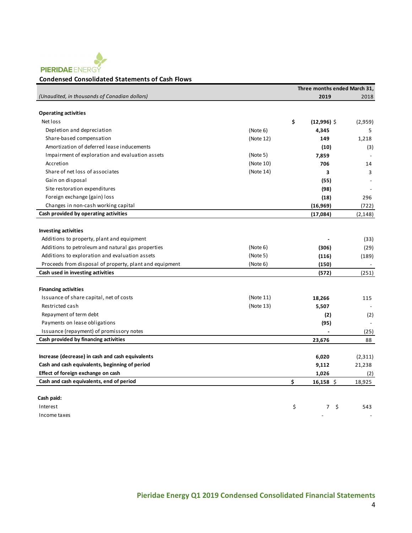

# **Condensed Consolidated Statements of Cash Flows**

|                                                         |           | Three months ended March 31, |          |
|---------------------------------------------------------|-----------|------------------------------|----------|
| (Unaudited, in thousands of Canadian dollars)           |           | 2019                         | 2018     |
|                                                         |           |                              |          |
| <b>Operating activities</b>                             |           |                              |          |
| Net loss                                                |           | \$<br>$(12,996)$ \$          | (2,959)  |
| Depletion and depreciation                              | (Note 6)  | 4,345                        | 5        |
| Share-based compensation                                | (Note 12) | 149                          | 1,218    |
| Amortization of deferred lease inducements              |           | (10)                         | (3)      |
| Impairment of exploration and evaluation assets         | (Note 5)  | 7,859                        |          |
| Accretion                                               | (Note 10) | 706                          | 14       |
| Share of net loss of associates                         | (Note 14) | 3                            | 3        |
| Gain on disposal                                        |           | (55)                         |          |
| Site restoration expenditures                           |           | (98)                         |          |
| Foreign exchange (gain) loss                            |           | (18)                         | 296      |
| Changes in non-cash working capital                     |           | (16, 969)                    | (722)    |
| Cash provided by operating activities                   |           | (17,084)                     | (2, 148) |
|                                                         |           |                              |          |
| <b>Investing activities</b>                             |           |                              |          |
| Additions to property, plant and equipment              |           |                              | (33)     |
| Additions to petroleum and natural gas properties       | (Note 6)  | (306)                        | (29)     |
| Additions to exploration and evaluation assets          | (Note 5)  | (116)                        | (189)    |
| Proceeds from disposal of property, plant and equipment | (Note 6)  | (150)                        |          |
| Cash used in investing activities                       |           | (572)                        | (251)    |
|                                                         |           |                              |          |
| <b>Financing activities</b>                             |           |                              |          |
| Issuance of share capital, net of costs                 | (Note 11) | 18,266                       | 115      |
| Restricted cash                                         | (Note 13) | 5,507                        |          |
| Repayment of term debt                                  |           | (2)                          | (2)      |
| Payments on lease obligations                           |           | (95)                         |          |
| Issuance (repayment) of promissory notes                |           |                              | (25)     |
| Cash provided by financing activities                   |           | 23,676                       | 88       |
|                                                         |           |                              |          |
| Increase (decrease) in cash and cash equivalents        |           | 6,020                        | (2,311)  |
| Cash and cash equivalents, beginning of period          |           | 9,112                        | 21,238   |
| Effect of foreign exchange on cash                      |           | 1,026                        | (2)      |
| Cash and cash equivalents, end of period                |           | \$<br>$16,158$ \$            | 18,925   |
| Cash paid:                                              |           |                              |          |
| Interest                                                |           | \$<br>7 <sup>7</sup><br>\$   | 543      |
| Income taxes                                            |           |                              |          |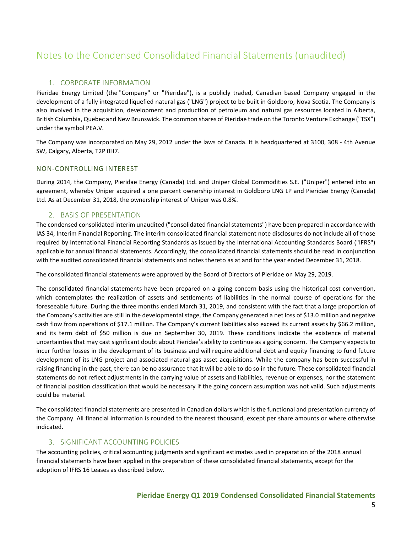# Notes to the Condensed Consolidated Financial Statements (unaudited)

# 1. CORPORATE INFORMATION

Pieridae Energy Limited (the "Company" or "Pieridae"), is a publicly traded, Canadian based Company engaged in the development of a fully integrated liquefied natural gas ("LNG") project to be built in Goldboro, Nova Scotia. The Company is also involved in the acquisition, development and production of petroleum and natural gas resources located in Alberta, British Columbia, Quebec and New Brunswick. The common shares of Pieridae trade on the Toronto Venture Exchange ("TSX") under the symbol PEA.V.

The Company was incorporated on May 29, 2012 under the laws of Canada. It is headquartered at 3100, 308 - 4th Avenue SW, Calgary, Alberta, T2P 0H7.

## NON-CONTROLLING INTEREST

During 2014, the Company, Pieridae Energy (Canada) Ltd. and Uniper Global Commodities S.E. ("Uniper") entered into an agreement, whereby Uniper acquired a one percent ownership interest in Goldboro LNG LP and Pieridae Energy (Canada) Ltd. As at December 31, 2018, the ownership interest of Uniper was 0.8%.

## 2. BASIS OF PRESENTATION

The condensed consolidated interim unaudited ("consolidated financial statements") have been prepared in accordance with IAS 34, Interim Financial Reporting. The interim consolidated financial statement note disclosures do not include all of those required by International Financial Reporting Standards as issued by the International Accounting Standards Board ("IFRS") applicable for annual financial statements. Accordingly, the consolidated financial statements should be read in conjunction with the audited consolidated financial statements and notes thereto as at and for the year ended December 31, 2018.

The consolidated financial statements were approved by the Board of Directors of Pieridae on May 29, 2019.

The consolidated financial statements have been prepared on a going concern basis using the historical cost convention, which contemplates the realization of assets and settlements of liabilities in the normal course of operations for the foreseeable future. During the three months ended March 31, 2019, and consistent with the fact that a large proportion of the Company's activities are still in the developmental stage, the Company generated a net loss of \$13.0 million and negative cash flow from operations of \$17.1 million. The Company's current liabilities also exceed its current assets by \$66.2 million, and its term debt of \$50 million is due on September 30, 2019. These conditions indicate the existence of material uncertainties that may cast significant doubt about Pieridae's ability to continue as a going concern. The Company expects to incur further losses in the development of its business and will require additional debt and equity financing to fund future development of its LNG project and associated natural gas asset acquisitions. While the company has been successful in raising financing in the past, there can be no assurance that it will be able to do so in the future. These consolidated financial statements do not reflect adjustments in the carrying value of assets and liabilities, revenue or expenses, nor the statement of financial position classification that would be necessary if the going concern assumption was not valid. Such adjustments could be material.

The consolidated financial statements are presented in Canadian dollars which is the functional and presentation currency of the Company. All financial information is rounded to the nearest thousand, except per share amounts or where otherwise indicated.

## 3. SIGNIFICANT ACCOUNTING POLICIES

The accounting policies, critical accounting judgments and significant estimates used in preparation of the 2018 annual financial statements have been applied in the preparation of these consolidated financial statements, except for the adoption of IFRS 16 Leases as described below.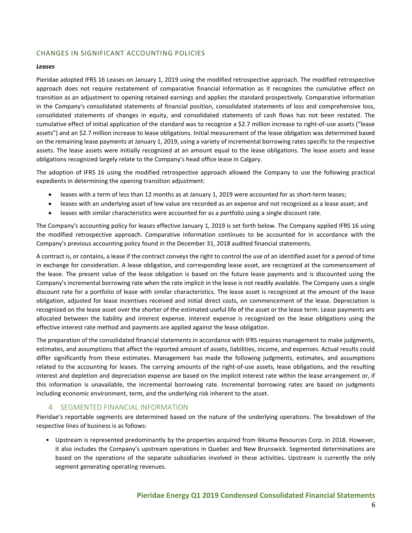## CHANGES IN SIGNIFICANT ACCOUNTING POLICIES

#### *Leases*

Pieridae adopted IFRS 16 Leases on January 1, 2019 using the modified retrospective approach. The modified retrospective approach does not require restatement of comparative financial information as it recognizes the cumulative effect on transition as an adjustment to opening retained earnings and applies the standard prospectively. Comparative information in the Company's consolidated statements of financial position, consolidated statements of loss and comprehensive loss, consolidated statements of changes in equity, and consolidated statements of cash flows has not been restated. The cumulative effect of initial application of the standard was to recognize a \$2.7 million increase to right-of-use assets ("lease assets") and an \$2.7 million increase to lease obligations. Initial measurement of the lease obligation was determined based on the remaining lease payments at January 1, 2019, using a variety of incremental borrowing rates specific to the respective assets. The lease assets were initially recognized at an amount equal to the lease obligations. The lease assets and lease obligations recognized largely relate to the Company's head office lease in Calgary.

The adoption of IFRS 16 using the modified retrospective approach allowed the Company to use the following practical expedients in determining the opening transition adjustment:

- leases with a term of less than 12 months as at January 1, 2019 were accounted for as short-term leases;
- leases with an underlying asset of low value are recorded as an expense and not recognized as a lease asset; and
- leases with similar characteristics were accounted for as a portfolio using a single discount rate.

The Company's accounting policy for leases effective January 1, 2019 is set forth below. The Company applied IFRS 16 using the modified retrospective approach. Comparative information continues to be accounted for in accordance with the Company's previous accounting policy found in the December 31, 2018 audited financial statements.

A contract is, or contains, a lease if the contract conveys the right to control the use of an identified asset for a period of time in exchange for consideration. A lease obligation, and corresponding lease asset, are recognized at the commencement of the lease. The present value of the lease obligation is based on the future lease payments and is discounted using the Company's incremental borrowing rate when the rate implicit in the lease is not readily available. The Company uses a single discount rate for a portfolio of lease with similar characteristics. The lease asset is recognized at the amount of the lease obligation, adjusted for lease incentives received and initial direct costs, on commencement of the lease. Depreciation is recognized on the lease asset over the shorter of the estimated useful life of the asset or the lease term. Lease payments are allocated between the liability and interest expense. Interest expense is recognized on the lease obligations using the effective interest rate method and payments are applied against the lease obligation.

The preparation of the consolidated financial statements in accordance with IFRS requires management to make judgments, estimates, and assumptions that affect the reported amount of assets, liabilities, income, and expenses. Actual results could differ significantly from these estimates. Management has made the following judgments, estimates, and assumptions related to the accounting for leases. The carrying amounts of the right-of-use assets, lease obligations, and the resulting interest and depletion and depreciation expense are based on the implicit interest rate within the lease arrangement or, if this information is unavailable, the incremental borrowing rate. Incremental borrowing rates are based on judgments including economic environment, term, and the underlying risk inherent to the asset.

## 4. SEGMENTED FINANCIAL INFORMATION

Pieridae's reportable segments are determined based on the nature of the underlying operations. The breakdown of the respective lines of business is as follows:

• Upstream is represented predominantly by the properties acquired from Ikkuma Resources Corp. in 2018. However, it also includes the Company's upstream operations in Quebec and New Brunswick. Segmented determinations are based on the operations of the separate subsidiaries involved in these activities. Upstream is currently the only segment generating operating revenues.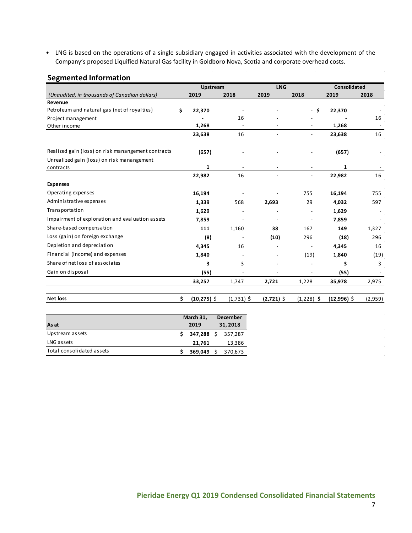• LNG is based on the operations of a single subsidiary engaged in activities associated with the development of the Company's proposed Liquified Natural Gas facility in Goldboro Nova, Scotia and corporate overhead costs.

# **Segmented Information**

|                                                    | Upstream             |                            | <b>LNG</b>   |                          | <b>Consolidated</b> |         |
|----------------------------------------------------|----------------------|----------------------------|--------------|--------------------------|---------------------|---------|
| (Unaudited, in thousands of Canadian dollars)      | 2019                 | 2018                       | 2019         | 2018                     | 2019                | 2018    |
| Revenue                                            |                      |                            |              |                          |                     |         |
| Petroleum and natural gas (net of royalties)       | \$<br>22,370         |                            |              | - \$                     | 22,370              |         |
| Project management                                 |                      | 16                         |              |                          |                     | 16      |
| Other income                                       | 1,268                | $\blacksquare$             |              |                          | 1,268               |         |
|                                                    | 23,638               | 16                         |              |                          | 23,638              | 16      |
| Realized gain (loss) on risk manangement contracts | (657)                |                            |              |                          | (657)               |         |
| Unrealized gain (loss) on risk manangement         |                      |                            |              |                          |                     |         |
| contracts                                          | $\mathbf{1}$         |                            |              |                          | 1                   |         |
|                                                    | 22,982               | 16                         |              | $\overline{\phantom{a}}$ | 22,982              | 16      |
| <b>Expenses</b>                                    |                      |                            |              |                          |                     |         |
| Operating expenses                                 | 16,194               |                            |              | 755                      | 16,194              | 755     |
| Administrative expenses                            | 1,339                | 568                        | 2,693        | 29                       | 4,032               | 597     |
| Transportation                                     | 1,629                |                            |              |                          | 1,629               |         |
| Impairment of exploration and evaluation assets    | 7,859                |                            |              | $\overline{\phantom{a}}$ | 7,859               |         |
| Share-based compensation                           | 111                  | 1,160                      | 38           | 167                      | 149                 | 1,327   |
| Loss (gain) on foreign exchange                    | (8)                  |                            | (10)         | 296                      | (18)                | 296     |
| Depletion and depreciation                         | 4,345                | 16                         |              | $\overline{\phantom{a}}$ | 4,345               | 16      |
| Financial (income) and expenses                    | 1,840                |                            |              | (19)                     | 1,840               | (19)    |
| Share of net loss of associates                    | 3                    | 3                          |              |                          | 3                   | 3       |
| Gain on disposal                                   | (55)                 |                            |              |                          | (55)                |         |
|                                                    | 33,257               | 1,747                      | 2,721        | 1,228                    | 35,978              | 2,975   |
| Net loss                                           | \$<br>$(10, 275)$ \$ | $(1,731)$ \$               | $(2,721)$ \$ | $(1,228)$ \$             | $(12,996)$ \$       | (2,959) |
|                                                    | March 31,            | <b>December</b><br>31,2018 |              |                          |                     |         |
| As at                                              | 2019                 |                            |              |                          |                     |         |

Upstream assets **\$ 347,288** \$ 357,287 LNG assets 21,761 13,386 Total consolidated assets **\$ 369,049** \$ 370,673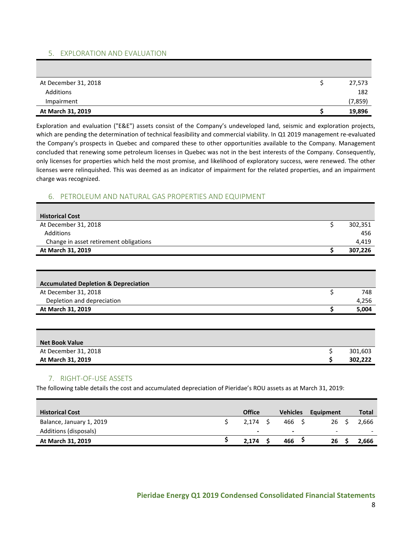## 5. EXPLORATION AND EVALUATION

| At December 31, 2018 | 27,573   |
|----------------------|----------|
| Additions            | 182      |
| Impairment           | (7, 859) |
| At March 31, 2019    | 19,896   |

Exploration and evaluation ("E&E") assets consist of the Company's undeveloped land, seismic and exploration projects, which are pending the determination of technical feasibility and commercial viability. In Q1 2019 management re-evaluated the Company's prospects in Quebec and compared these to other opportunities available to the Company. Management concluded that renewing some petroleum licenses in Quebec was not in the best interests of the Company. Consequently, only licenses for properties which held the most promise, and likelihood of exploratory success, were renewed. The other licenses were relinquished. This was deemed as an indicator of impairment for the related properties, and an impairment charge was recognized.

#### 6. PETROLEUM AND NATURAL GAS PROPERTIES AND EQUIPMENT

| <b>Historical Cost</b>                 |         |
|----------------------------------------|---------|
| At December 31, 2018                   | 302,351 |
| Additions                              | 456     |
| Change in asset retirement obligations | 4,419   |
| At March 31, 2019                      | 307,226 |

| <b>Accumulated Depletion &amp; Depreciation</b> |       |
|-------------------------------------------------|-------|
| At December 31, 2018                            | 748   |
| Depletion and depreciation                      | 4,256 |
| At March 31, 2019                               | 5,004 |

| <b>Net Book Value</b> |         |
|-----------------------|---------|
| At December 31, 2018  | 301,603 |
| At March 31, 2019     | 302,222 |

## 7. RIGHT-OF-USE ASSETS

The following table details the cost and accumulated depreciation of Pieridae's ROU assets as at March 31, 2019:

| <b>Historical Cost</b>   | <b>Office</b>            | <b>Vehicles</b> | Equipment                | <b>Total</b> |
|--------------------------|--------------------------|-----------------|--------------------------|--------------|
| Balance, January 1, 2019 | 2.174                    | 466 S           | 26 <sup>5</sup>          | 2,666        |
| Additions (disposals)    | $\overline{\phantom{0}}$ | $\blacksquare$  | $\overline{\phantom{a}}$ |              |
| At March 31, 2019        | 2.174                    | 466             | 26                       | 2,666        |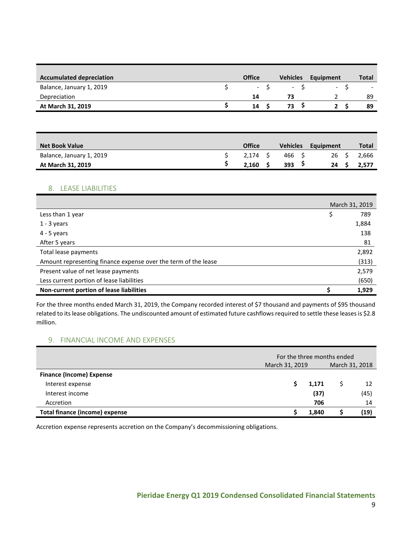| <b>Accumulated depreciation</b> | <b>Office</b> | <b>Vehicles</b> | Equipment                | <b>Total</b>             |
|---------------------------------|---------------|-----------------|--------------------------|--------------------------|
| Balance, January 1, 2019        | $-5$          | $- S$           | $\overline{\phantom{a}}$ | $\overline{\phantom{0}}$ |
| Depreciation                    | 14            | 73              |                          | 89                       |
| At March 31, 2019               | 14            | 73              |                          | 89                       |

| <b>Net Book Value</b>    | <b>Office</b> | <b>Vehicles</b> | Equipment | Total |
|--------------------------|---------------|-----------------|-----------|-------|
| Balance, January 1, 2019 | 2.174 S       | 466 S           | 26 S      | 2.666 |
| At March 31, 2019        | 2,160         | 393             | 24 S      | 2.577 |

## 8. LEASE LIABILITIES

|                                                                | March 31, 2019 |       |  |
|----------------------------------------------------------------|----------------|-------|--|
| Less than 1 year                                               | \$             | 789   |  |
| $1 - 3$ years                                                  |                | 1,884 |  |
| $4 - 5$ years                                                  |                | 138   |  |
| After 5 years                                                  |                | 81    |  |
| Total lease payments                                           |                | 2,892 |  |
| Amount representing finance expense over the term of the lease |                | (313) |  |
| Present value of net lease payments                            |                | 2,579 |  |
| Less current portion of lease liabilities                      |                | (650) |  |
| Non-current portion of lease liabilities                       |                | 1,929 |  |

For the three months ended March 31, 2019, the Company recorded interest of \$7 thousand and payments of \$95 thousand related to its lease obligations. The undiscounted amount of estimated future cashflows required to settle these leases is \$2.8 million.

#### 9. FINANCIAL INCOME AND EXPENSES

|                                       | For the three months ended |  |      |  |  |
|---------------------------------------|----------------------------|--|------|--|--|
|                                       | March 31, 2019             |  |      |  |  |
| <b>Finance (Income) Expense</b>       |                            |  |      |  |  |
| Interest expense                      | 1,171                      |  | 12   |  |  |
| Interest income                       | (37)                       |  | (45) |  |  |
| Accretion                             | 706                        |  | 14   |  |  |
| <b>Total finance (income) expense</b> | 1.840                      |  | (19) |  |  |

Accretion expense represents accretion on the Company's decommissioning obligations.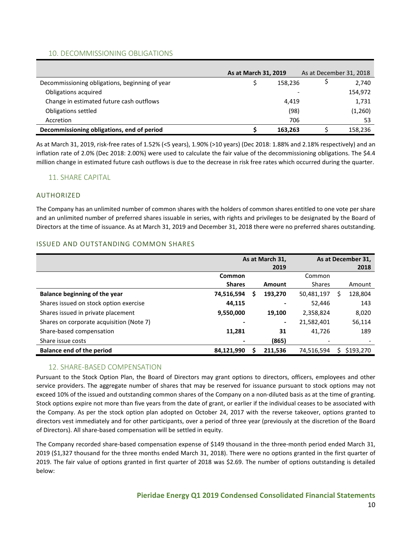## 10. DECOMMISSIONING OBLIGATIONS

|                                                | As at March 31, 2019 |         | As at December 31, 2018 |
|------------------------------------------------|----------------------|---------|-------------------------|
| Decommissioning obligations, beginning of year |                      | 158,236 | 2,740                   |
| Obligations acquired                           |                      |         | 154,972                 |
| Change in estimated future cash outflows       |                      | 4,419   | 1,731                   |
| Obligations settled                            |                      | (98)    | (1,260)                 |
| Accretion                                      |                      | 706     | 53                      |
| Decommissioning obligations, end of period     |                      | 163.263 | 158,236                 |

As at March 31, 2019, risk-free rates of 1.52% (<5 years), 1.90% (>10 years) (Dec 2018: 1.88% and 2.18% respectively) and an inflation rate of 2.0% (Dec 2018: 2.00%) were used to calculate the fair value of the decommissioning obligations. The \$4.4 million change in estimated future cash outflows is due to the decrease in risk free rates which occurred during the quarter.

# 11. SHARE CAPITAL

## AUTHORIZED

The Company has an unlimited number of common shares with the holders of common shares entitled to one vote per share and an unlimited number of preferred shares issuable in series, with rights and privileges to be designated by the Board of Directors at the time of issuance. As at March 31, 2019 and December 31, 2018 there were no preferred shares outstanding.

## ISSUED AND OUTSTANDING COMMON SHARES

|                                          | As at March 31, |   |                | As at December 31, |   |           |
|------------------------------------------|-----------------|---|----------------|--------------------|---|-----------|
|                                          | 2019            |   |                |                    |   | 2018      |
|                                          | Common          |   |                | Common             |   |           |
|                                          | <b>Shares</b>   |   | Amount         | <b>Shares</b>      |   | Amount    |
| Balance beginning of the year            | 74,516,594      | S | 193,270        | 50,481,197         | S | 128,804   |
| Shares issued on stock option exercise   | 44,115          |   |                | 52,446             |   | 143       |
| Shares issued in private placement       | 9,550,000       |   | 19,100         | 2,358,824          |   | 8,020     |
| Shares on corporate acquisition (Note 7) |                 |   | $\blacksquare$ | 21,582,401         |   | 56,114    |
| Share-based compensation                 | 11,281          |   | 31             | 41,726             |   | 189       |
| Share issue costs                        |                 |   | (865)          | ٠                  |   |           |
| <b>Balance end of the period</b>         | 84,121,990      |   | 211.536        | 74,516,594         |   | \$193,270 |

## 12. SHARE-BASED COMPENSATION

Pursuant to the Stock Option Plan, the Board of Directors may grant options to directors, officers, employees and other service providers. The aggregate number of shares that may be reserved for issuance pursuant to stock options may not exceed 10% of the issued and outstanding common shares of the Company on a non-diluted basis as at the time of granting. Stock options expire not more than five years from the date of grant, or earlier if the individual ceases to be associated with the Company. As per the stock option plan adopted on October 24, 2017 with the reverse takeover, options granted to directors vest immediately and for other participants, over a period of three year (previously at the discretion of the Board of Directors). All share-based compensation will be settled in equity.

The Company recorded share-based compensation expense of \$149 thousand in the three-month period ended March 31, 2019 (\$1,327 thousand for the three months ended March 31, 2018). There were no options granted in the first quarter of 2019. The fair value of options granted in first quarter of 2018 was \$2.69. The number of options outstanding is detailed below: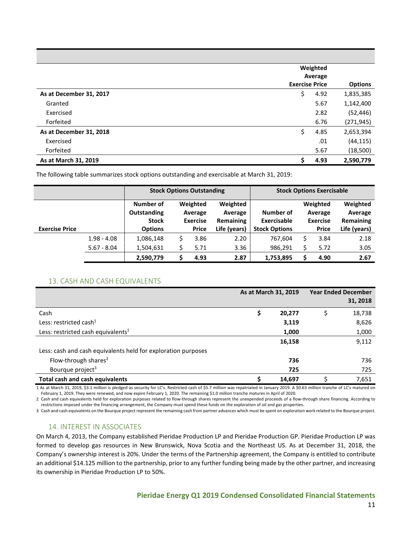|                         | Weighted<br>Average   |                |
|-------------------------|-----------------------|----------------|
|                         | <b>Exercise Price</b> | <b>Options</b> |
| As at December 31, 2017 | \$<br>4.92            | 1,835,385      |
| Granted                 | 5.67                  | 1,142,400      |
| Exercised               | 2.82                  | (52, 446)      |
| Forfeited               | 6.76                  | (271, 945)     |
| As at December 31, 2018 | \$<br>4.85            | 2,653,394      |
| Exercised               | .01                   | (44, 115)      |
| Forfeited               | 5.67                  | (18,500)       |
| As at March 31, 2019    | 4.93                  | 2,590,779      |

The following table summarizes stock options outstanding and exercisable at March 31, 2019:

|                       |               | <b>Stock Options Outstanding</b>                |                                                                            |              |                          |                      |                                        | <b>Stock Options Exercisable</b> |              |
|-----------------------|---------------|-------------------------------------------------|----------------------------------------------------------------------------|--------------|--------------------------|----------------------|----------------------------------------|----------------------------------|--------------|
|                       |               | Number of<br><b>Outstanding</b><br><b>Stock</b> | Weighted<br>Weighted<br>Average<br>Average<br>Remaining<br><b>Exercise</b> |              | Number of<br>Exercisable |                      | Weighted<br>Average<br><b>Exercise</b> | Weighted<br>Average<br>Remaining |              |
| <b>Exercise Price</b> |               | <b>Options</b>                                  |                                                                            | <b>Price</b> | Life (years)             | <b>Stock Options</b> |                                        | <b>Price</b>                     | Life (years) |
|                       | $1.98 - 4.08$ | 1,086,148                                       | \$                                                                         | 3.86         | 2.20                     | 767,604              |                                        | 3.84                             | 2.18         |
|                       | $5.67 - 8.04$ | 1,504,631                                       |                                                                            | 5.71         | 3.36                     | 986,291              |                                        | 5.72                             | 3.05         |
|                       |               | 2,590,779                                       |                                                                            | 4.93         | 2.87                     | 1,753,895            |                                        | 4.90                             | 2.67         |

## 13. CASH AND CASH EQUIVALENTS

|                                                               | As at March 31, 2019 |        | <b>Year Ended December</b><br>31, 2018 |        |  |
|---------------------------------------------------------------|----------------------|--------|----------------------------------------|--------|--|
| Cash                                                          |                      | 20,277 | Ś                                      | 18,738 |  |
| Less: restricted cash $1$                                     |                      | 3,119  |                                        | 8,626  |  |
| Less: restricted cash equivalents <sup>1</sup>                |                      | 1,000  |                                        | 1,000  |  |
|                                                               |                      | 16,158 |                                        | 9,112  |  |
| Less: cash and cash equivalents held for exploration purposes |                      |        |                                        |        |  |
| Flow-through shares <sup>2</sup>                              |                      | 736    |                                        | 736    |  |
| Bourque project <sup>3</sup>                                  |                      | 725    |                                        | 725    |  |
| Total cash and cash equivalents                               |                      | 14,697 |                                        | 7,651  |  |

1 As at March 31, 2019, \$3.1 million is pledged as security for LC's. Restricted cash of \$5.7 million was repatriated in January 2019. A \$0.63 million tranche of LC's matured on February 1, 2019. They were renewed, and now expire February 1, 2020. The remaining \$1.0 million tranche matures in April of 2020.

2 Cash and cash equivalents held for exploration purposes related to flow-through shares represent the unexpended proceeds of a flow-through share financing. According to restrictions imposed under the financing arrangement, the Company must spend these funds on the exploration of oil and gas properties.

3 Cash and cash equivalents on the Bourque project represent the remaining cash from partner advances which must be spent on exploration work related to the Bourque project.

## 14. INTEREST IN ASSOCIATES

On March 4, 2013, the Company established Pieridae Production LP and Pieridae Production GP. Pieridae Production LP was formed to develop gas resources in New Brunswick, Nova Scotia and the Northeast US. As at December 31, 2018, the Company's ownership interest is 20%. Under the terms of the Partnership agreement, the Company is entitled to contribute an additional \$14.125 million to the partnership, prior to any further funding being made by the other partner, and increasing its ownership in Pieridae Production LP to 50%.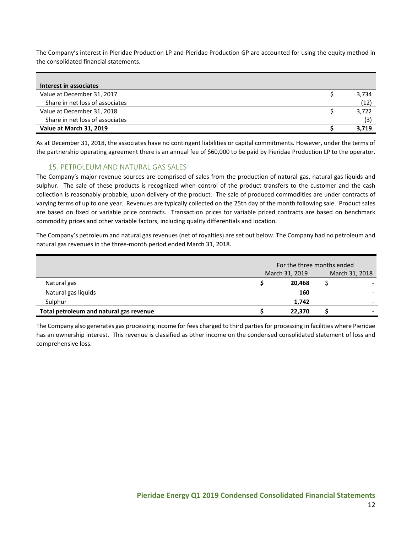The Company's interest in Pieridae Production LP and Pieridae Production GP are accounted for using the equity method in the consolidated financial statements.

| Interest in associates          |       |
|---------------------------------|-------|
| Value at December 31, 2017      | 3,734 |
| Share in net loss of associates | (12)  |
| Value at December 31, 2018      | 3,722 |
| Share in net loss of associates | (3)   |
| Value at March 31, 2019         | 3.719 |

As at December 31, 2018, the associates have no contingent liabilities or capital commitments. However, under the terms of the partnership operating agreement there is an annual fee of \$60,000 to be paid by Pieridae Production LP to the operator.

## 15. PETROLEUM AND NATURAL GAS SALES

The Company's major revenue sources are comprised of sales from the production of natural gas, natural gas liquids and sulphur. The sale of these products is recognized when control of the product transfers to the customer and the cash collection is reasonably probable, upon delivery of the product. The sale of produced commodities are under contracts of varying terms of up to one year. Revenues are typically collected on the 25th day of the month following sale. Product sales are based on fixed or variable price contracts. Transaction prices for variable priced contracts are based on benchmark commodity prices and other variable factors, including quality differentials and location.

The Company's petroleum and natural gas revenues (net of royalties) are set out below. The Company had no petroleum and natural gas revenues in the three-month period ended March 31, 2018.

|                                         | For the three months ended |        |                |  |  |
|-----------------------------------------|----------------------------|--------|----------------|--|--|
|                                         | March 31, 2019             |        | March 31, 2018 |  |  |
| Natural gas                             |                            | 20,468 |                |  |  |
| Natural gas liquids                     |                            | 160    |                |  |  |
| Sulphur                                 |                            | 1.742  |                |  |  |
| Total petroleum and natural gas revenue |                            | 22,370 |                |  |  |

The Company also generates gas processing income for fees charged to third parties for processing in facilities where Pieridae has an ownership interest. This revenue is classified as other income on the condensed consolidated statement of loss and comprehensive loss.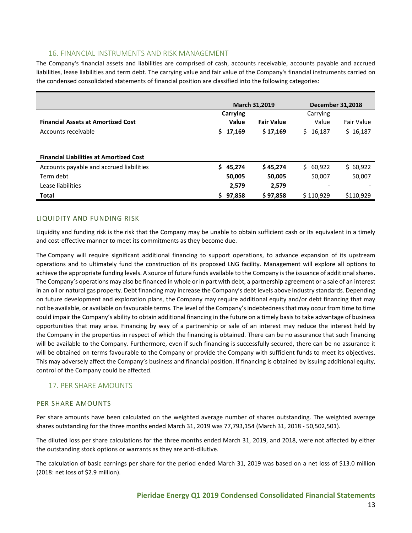## 16. FINANCIAL INSTRUMENTS AND RISK MANAGEMENT

The Company's financial assets and liabilities are comprised of cash, accounts receivable, accounts payable and accrued liabilities, lease liabilities and term debt. The carrying value and fair value of the Company's financial instruments carried on the condensed consolidated statements of financial position are classified into the following categories:

|                                                |                      | March 31,2019     | <b>December 31,2018</b> |            |
|------------------------------------------------|----------------------|-------------------|-------------------------|------------|
|                                                | <b>Carrying</b>      | Carrying          |                         |            |
| <b>Financial Assets at Amortized Cost</b>      | Value                | <b>Fair Value</b> | Value                   | Fair Value |
| Accounts receivable                            | \$17,169<br>\$17,169 |                   | S.<br>16,187            | \$16,187   |
|                                                |                      |                   |                         |            |
| <b>Financial Liabilities at Amortized Cost</b> |                      |                   |                         |            |
| Accounts payable and accrued liabilities       | \$45,274             | \$45,274          | \$60,922                | \$60,922   |
| Term debt                                      | 50,005               | 50,005            | 50,007                  | 50,007     |
| Lease liabilities                              | 2,579                | 2.579             |                         |            |
| <b>Total</b>                                   | S.<br>97.858         | \$97.858          | \$110.929               | \$110.929  |

## LIQUIDITY AND FUNDING RISK

Liquidity and funding risk is the risk that the Company may be unable to obtain sufficient cash or its equivalent in a timely and cost-effective manner to meet its commitments as they become due.

The Company will require significant additional financing to support operations, to advance expansion of its upstream operations and to ultimately fund the construction of its proposed LNG facility. Management will explore all options to achieve the appropriate funding levels. A source of future funds available to the Company is the issuance of additional shares. The Company's operations may also be financed in whole or in part with debt, a partnership agreement or a sale of an interest in an oil or natural gas property. Debt financing may increase the Company's debt levels above industry standards. Depending on future development and exploration plans, the Company may require additional equity and/or debt financing that may not be available, or available on favourable terms. The level of the Company's indebtedness that may occur from time to time could impair the Company's ability to obtain additional financing in the future on a timely basis to take advantage of business opportunities that may arise. Financing by way of a partnership or sale of an interest may reduce the interest held by the Company in the properties in respect of which the financing is obtained. There can be no assurance that such financing will be available to the Company. Furthermore, even if such financing is successfully secured, there can be no assurance it will be obtained on terms favourable to the Company or provide the Company with sufficient funds to meet its objectives. This may adversely affect the Company's business and financial position. If financing is obtained by issuing additional equity, control of the Company could be affected.

## 17. PER SHARE AMOUNTS

## PER SHARE AMOUNTS

Per share amounts have been calculated on the weighted average number of shares outstanding. The weighted average shares outstanding for the three months ended March 31, 2019 was 77,793,154 (March 31, 2018 - 50,502,501).

The diluted loss per share calculations for the three months ended March 31, 2019, and 2018, were not affected by either the outstanding stock options or warrants as they are anti-dilutive.

The calculation of basic earnings per share for the period ended March 31, 2019 was based on a net loss of \$13.0 million (2018: net loss of \$2.9 million).